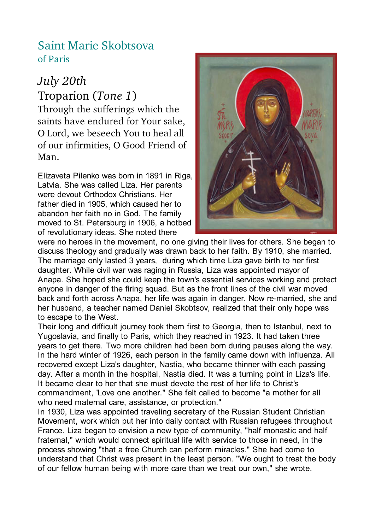## Saint Marie Skobtsova of Paris

## July 20th Troparion (Tone 1)

Through the sufferings which the saints have endured for Your sake, O Lord, we beseech You to heal all of our infirmities, O Good Friend of Man.

Elizaveta Pilenko was born in 1891 in Riga, Latvia. She was called Liza. Her parents were devout Orthodox Christians. Her father died in 1905, which caused her to abandon her faith no in God. The family moved to St. Petersburg in 1906, a hotbed of revolutionary ideas. She noted there



were no heroes in the movement, no one giving their lives for others. She began to discuss theology and gradually was drawn back to her faith. By 1910, she married. The marriage only lasted 3 years, during which time Liza gave birth to her first daughter. While civil war was raging in Russia, Liza was appointed mayor of Anapa. She hoped she could keep the town's essential services working and protect anyone in danger of the firing squad. But as the front lines of the civil war moved back and forth across Anapa, her life was again in danger. Now re-married, she and her husband, a teacher named Daniel Skobtsov, realized that their only hope was to escape to the West.

Their long and difficult journey took them first to Georgia, then to Istanbul, next to Yugoslavia, and finally to Paris, which they reached in 1923. It had taken three years to get there. Two more children had been born during pauses along the way. In the hard winter of 1926, each person in the family came down with influenza. All recovered except Liza's daughter, Nastia, who became thinner with each passing day. After a month in the hospital, Nastia died. It was a turning point in Liza's life. It became clear to her that she must devote the rest of her life to Christ's commandment, 'Love one another." She felt called to become "a mother for all who need maternal care, assistance, or protection."

In 1930, Liza was appointed traveling secretary of the Russian Student Christian Movement, work which put her into daily contact with Russian refugees throughout France. Liza began to envision a new type of community, "half monastic and half fraternal," which would connect spiritual life with service to those in need, in the process showing "that a free Church can perform miracles." She had come to understand that Christ was present in the least person. "We ought to treat the body of our fellow human being with more care than we treat our own," she wrote.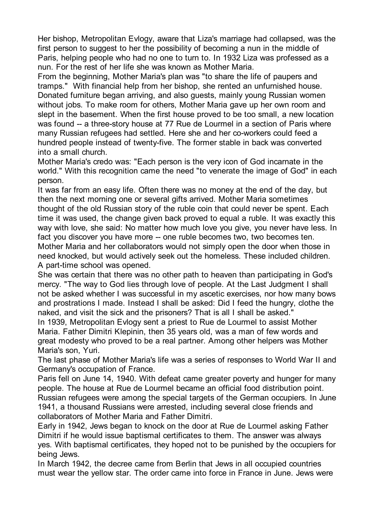Her bishop, Metropolitan Evlogy, aware that Liza's marriage had collapsed, was the first person to suggest to her the possibility of becoming a nun in the middle of Paris, helping people who had no one to turn to. In 1932 Liza was professed as a nun. For the rest of her life she was known as Mother Maria.

From the beginning, Mother Maria's plan was "to share the life of paupers and tramps." With financial help from her bishop, she rented an unfurnished house. Donated furniture began arriving, and also guests, mainly young Russian women without jobs. To make room for others, Mother Maria gave up her own room and slept in the basement. When the first house proved to be too small, a new location was found -- a three-story house at 77 Rue de Lourmel in a section of Paris where many Russian refugees had settled. Here she and her co-workers could feed a hundred people instead of twenty-five. The former stable in back was converted into a small church.

Mother Maria's credo was: "Each person is the very icon of God incarnate in the world." With this recognition came the need "to venerate the image of God" in each person.

It was far from an easy life. Often there was no money at the end of the day, but then the next morning one or several gifts arrived. Mother Maria sometimes thought of the old Russian story of the ruble coin that could never be spent. Each time it was used, the change given back proved to equal a ruble. It was exactly this way with love, she said: No matter how much love you give, you never have less. In fact you discover you have more -- one ruble becomes two, two becomes ten. Mother Maria and her collaborators would not simply open the door when those in need knocked, but would actively seek out the homeless. These included children. A part-time school was opened.

She was certain that there was no other path to heaven than participating in God's mercy. "The way to God lies through love of people. At the Last Judgment I shall not be asked whether I was successful in my ascetic exercises, nor how many bows and prostrations I made. Instead I shall be asked: Did I feed the hungry, clothe the naked, and visit the sick and the prisoners? That is all I shall be asked."

In 1939, Metropolitan Evlogy sent a priest to Rue de Lourmel to assist Mother Maria. Father Dimitri Klepinin, then 35 years old, was a man of few words and great modesty who proved to be a real partner. Among other helpers was Mother Maria's son, Yuri.

The last phase of Mother Maria's life was a series of responses to World War II and Germany's occupation of France.

Paris fell on June 14, 1940. With defeat came greater poverty and hunger for many people. The house at Rue de Lourmel became an official food distribution point. Russian refugees were among the special targets of the German occupiers. In June 1941, a thousand Russians were arrested, including several close friends and collaborators of Mother Maria and Father Dimitri.

Early in 1942, Jews began to knock on the door at Rue de Lourmel asking Father Dimitri if he would issue baptismal certificates to them. The answer was always yes. With baptismal certificates, they hoped not to be punished by the occupiers for being Jews.

In March 1942, the decree came from Berlin that Jews in all occupied countries must wear the yellow star. The order came into force in France in June. Jews were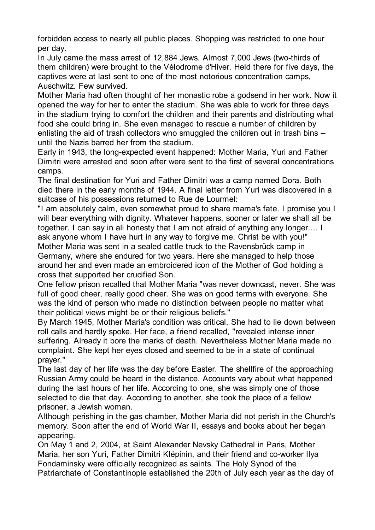forbidden access to nearly all public places. Shopping was restricted to one hour per day.

In July came the mass arrest of 12,884 Jews. Almost 7,000 Jews (two-thirds of them children) were brought to the Vélodrome d'Hiver. Held there for five days, the captives were at last sent to one of the most notorious concentration camps, Auschwitz. Few survived.

Mother Maria had often thought of her monastic robe a godsend in her work. Now it opened the way for her to enter the stadium. She was able to work for three days in the stadium trying to comfort the children and their parents and distributing what food she could bring in. She even managed to rescue a number of children by enlisting the aid of trash collectors who smuggled the children out in trash bins - until the Nazis barred her from the stadium.

Early in 1943, the long-expected event happened: Mother Maria, Yuri and Father Dimitri were arrested and soon after were sent to the first of several concentrations camps.

The final destination for Yuri and Father Dimitri was a camp named Dora. Both died there in the early months of 1944. A final letter from Yuri was discovered in a suitcase of his possessions returned to Rue de Lourmel:

"I am absolutely calm, even somewhat proud to share mama's fate. I promise you I will bear everything with dignity. Whatever happens, sooner or later we shall all be together. I can say in all honesty that I am not afraid of anything any longer.... I ask anyone whom I have hurt in any way to forgive me. Christ be with you!" Mother Maria was sent in a sealed cattle truck to the Ravensbrück camp in Germany, where she endured for two years. Here she managed to help those around her and even made an embroidered icon of the Mother of God holding a cross that supported her crucified Son.

One fellow prison recalled that Mother Maria "was never downcast, never. She was full of good cheer, really good cheer. She was on good terms with everyone. She was the kind of person who made no distinction between people no matter what their political views might be or their religious beliefs."

By March 1945, Mother Maria's condition was critical. She had to lie down between roll calls and hardly spoke. Her face, a friend recalled, "revealed intense inner suffering. Already it bore the marks of death. Nevertheless Mother Maria made no complaint. She kept her eyes closed and seemed to be in a state of continual prayer."

The last day of her life was the day before Easter. The shellfire of the approaching Russian Army could be heard in the distance. Accounts vary about what happened during the last hours of her life. According to one, she was simply one of those selected to die that day. According to another, she took the place of a fellow prisoner, a Jewish woman.

Although perishing in the gas chamber, Mother Maria did not perish in the Church's memory. Soon after the end of World War II, essays and books about her began appearing.

On May 1 and 2, 2004, at Saint Alexander Nevsky Cathedral in Paris, Mother Maria, her son Yuri, Father Dimitri Klépinin, and their friend and co-worker Ilya Fondaminsky were officially recognized as saints. The Holy Synod of the Patriarchate of Constantinople established the 20th of July each year as the day of